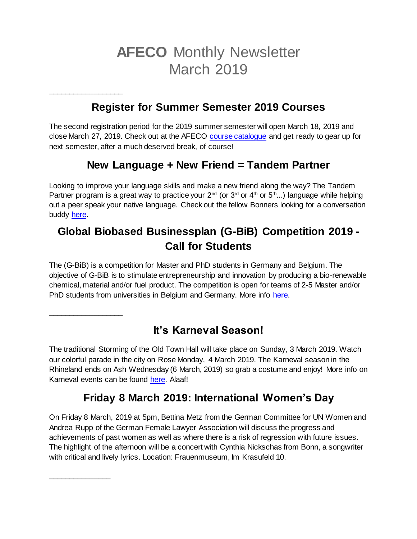# **AFECO** Monthly Newsletter March 2019

### **Register for Summer Semester 2019 Courses**

\_\_\_\_\_\_\_\_\_\_\_\_\_\_\_\_\_\_

\_\_\_\_\_\_\_\_\_\_\_\_\_\_\_\_\_\_

\_\_\_\_\_\_\_\_\_\_\_\_\_\_\_

The second registration period for the 2019 summer semester will open March 18, 2019 and close March 27, 2019. Check out at the AFECO [course catalogue](https://www.lf.uni-bonn.de/en/downloads/studying/coursebook/modules-msc-afeco) and get ready to gear up for next semester, after a much deserved break, of course!

#### **New Language + New Friend = Tandem Partner**

Looking to improve your language skills and make a new friend along the way? The Tandem Partner program is a great way to practice your  $2^{nd}$  (or  $3^{rd}$  or  $4^{th}$  or  $5^{th}$ ...) language while helping out a peer speak your native language. Check out the fellow Bonners looking for a conversation buddy [here.](http://www.asta-bonn.de/Sprachtandem)

## **Global Biobased Businessplan (G-BiB) Competition 2019 - Call for Students**

The (G-BiB) is a competition for Master and PhD students in Germany and Belgium. The objective of G-BiB is to stimulate entrepreneurship and innovation by producing a bio-renewable chemical, material and/or fuel product. The competition is open for teams of 2-5 Master and/or PhD students from universities in Belgium and Germany. More info [here.](https://www.lwf.uni-bonn.de/Institutes/ilr-en/tim-en/g-bib-infosheet.pdf)

### **It's Karneval Season!**

The traditional Storming of the Old Town Hall will take place on Sunday, 3 March 2019. Watch our colorful parade in the city on Rose Monday, 4 March 2019. The Karneval season in the Rhineland ends on Ash Wednesday (6 March, 2019) so grab a costume and enjoy! More info on Karneval events can be found [here.](http://www.kamelle.de/narren-news/bonn/Die-wichtigsten-Termine-im-Karneval-2019-article3677910.html) Alaaf!

### **Friday 8 March 2019: International Women's Day**

On Friday 8 March, 2019 at 5pm, Bettina Metz from the German Committee for UN Women and Andrea Rupp of the German Female Lawyer Association will discuss the progress and achievements of past women as well as where there is a risk of regression with future issues. The highlight of the afternoon will be a concert with Cynthia Nickschas from Bonn, a songwriter with critical and lively lyrics. Location: Frauenmuseum, Im Krasufeld 10.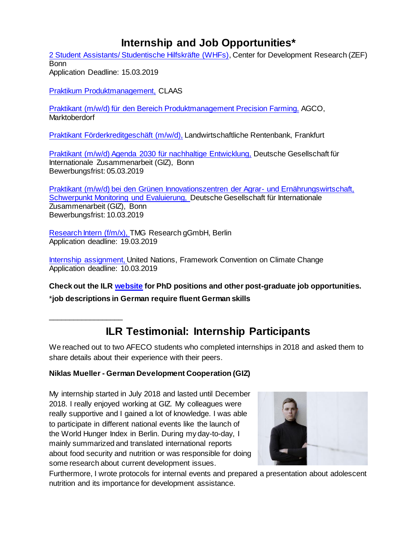### **Internship and Job Opportunities\***

[2 Student Assistants/ Studentische Hilfskräfte \(WHFs\),](http://www.ilr.uni-bonn.de/central/WHF-PositionPARI.pdf) Center for Development Research (ZEF) Bonn Application Deadline: 15.03.2019

Praktikum Produktmanagement, CLAAS

[Praktikant \(m/w/d\) für den Bereich Produktmanagement Precision Farming,](https://careers.agcocorp.com/job/Marktoberdorf-Praktikant-%28mw%29-f%C3%BCr-den-Bereich-Produkdmanagement-Precision-Farming-BY/513503400/?feedId=28200&utm_source=Indeed&utm_campaign=AGCO_Indeed) AGCO, Marktoberdorf

[Praktikant Förderkreditgeschäft \(m/w/d\),](https://recruitingapp-2764.umantis.com/Vacancies/153/Description/1) Landwirtschaftliche Rentenbank, Frankfurt

[Praktikant \(m/w/d\) Agenda 2030 für nachhaltige Entwicklung,](https://jobs.giz.de/index.php?ac=jobad&id=41789) Deutsche Gesellschaft für Internationale Zusammenarbeit (GIZ), Bonn Bewerbungsfrist: 05.03.2019

[Praktikant \(m/w/d\) bei den Grünen Innovationszentren der Agrar-](https://jobs.giz.de/index.php?ac=jobad&id=42253) und Ernährungswirtschaft, [Schwerpunkt Monitoring und Evaluierung, D](https://jobs.giz.de/index.php?ac=jobad&id=42253)eutsche Gesellschaft für Internationale Zusammenarbeit (GIZ), Bonn Bewerbungsfrist: 10.03.2019

[Research Intern \(f/m/x\), T](https://jobapplication.hrworks.de/?companyId=g27838b&id=9fb97b)MG Research gGmbH, Berlin Application deadline: 19.03.2019

[Internship assignment, U](https://unfccc.int/secretariat/employment/UserManagement/FileStorage/O6V0ZKSIUBP34E8GHJYQRLWAX257MC)nited Nations, Framework Convention on Climate Change Application deadline: 10.03.2019

**Check out the ILR [website](http://www.ilr.uni-bonn.de/central/jobs_d.htm) for PhD positions and other post-graduate job opportunities.**

\***job descriptions in German require fluent German skills**

\_\_\_\_\_\_\_\_\_\_\_\_\_\_\_\_\_\_

### **ILR Testimonial: Internship Participants**

We reached out to two AFECO students who completed internships in 2018 and asked them to share details about their experience with their peers.

#### **Niklas Mueller - German Development Cooperation (GIZ)**

My internship started in July 2018 and lasted until December 2018. I really enjoyed working at GIZ. My colleagues were really supportive and I gained a lot of knowledge. I was able to participate in different national events like the launch of the World Hunger Index in Berlin. During my day-to-day, I mainly summarized and translated international reports about food security and nutrition or was responsible for doing some research about current development issues.



Furthermore, I wrote protocols for internal events and prepared a presentation about adolescent nutrition and its importance for development assistance.